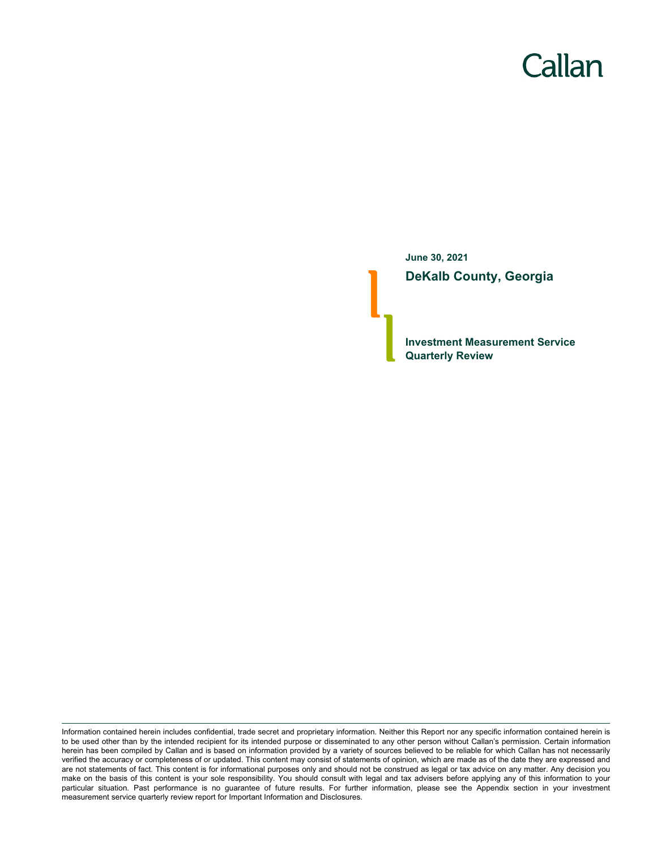# Callan

**June 30, 2021 DeKalb County, Georgia**

**Investment Measurement Service Quarterly Review**

Information contained herein includes confidential, trade secret and proprietary information. Neither this Report nor any specific information contained herein is to be used other than by the intended recipient for its intended purpose or disseminated to any other person without Callan's permission. Certain information herein has been compiled by Callan and is based on information provided by a variety of sources believed to be reliable for which Callan has not necessarily verified the accuracy or completeness of or updated. This content may consist of statements of opinion, which are made as of the date they are expressed and are not statements of fact. This content is for informational purposes only and should not be construed as legal or tax advice on any matter. Any decision you make on the basis of this content is your sole responsibility. You should consult with legal and tax advisers before applying any of this information to your particular situation. Past performance is no guarantee of future results. For further information, please see the Appendix section in your investment measurement service quarterly review report for Important Information and Disclosures.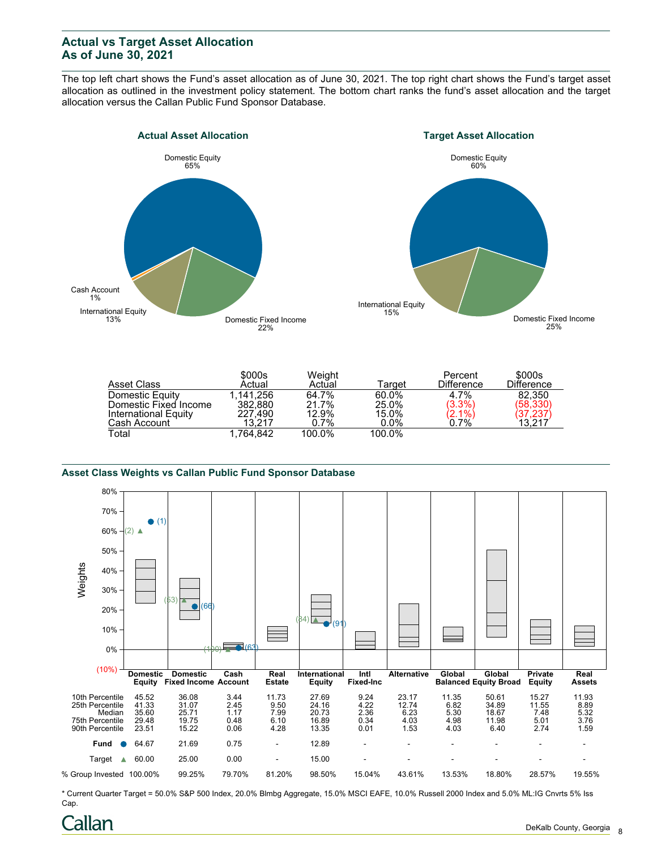## **Actual vs Target Asset Allocation As of June 30, 2021**

The top left chart shows the Fund's asset allocation as of June 30, 2021. The top right chart shows the Fund's target asset allocation as outlined in the investment policy statement. The bottom chart ranks the fund's asset allocation and the target allocation versus the Callan Public Fund Sponsor Database.





|                       | \$000s    | Weight |         | Percent           | \$000s             |
|-----------------------|-----------|--------|---------|-------------------|--------------------|
| Asset Class           | Actual    | Actual | ™arqet  | <b>Difference</b> | <b>Difference</b>  |
| Domestic Equity       | 1.141.256 | 64.7%  | 60.0%   | 4.7%              | 82,350             |
| Domestic Fixed Income | 382.880   | 21.7%  | 25.0%   | $(3.3\%)$         | (58, 330)          |
| International Equity  | 227.490   | 12.9%  | 15.0%   | $(2.1\%)$         | (37,237<br> 13,217 |
| Cash Account          | 13.217    | 0.7%   | $0.0\%$ | 0.7%              |                    |
| Total                 | 1.764.842 | 100.0% | 100.0%  |                   |                    |

#### **Asset Class Weights vs Callan Public Fund Sponsor Database**



\* Current Quarter Target = 50.0% S&P 500 Index, 20.0% Blmbg Aggregate, 15.0% MSCI EAFE, 10.0% Russell 2000 Index and 5.0% ML:IG Cnvrts 5% Iss Cap.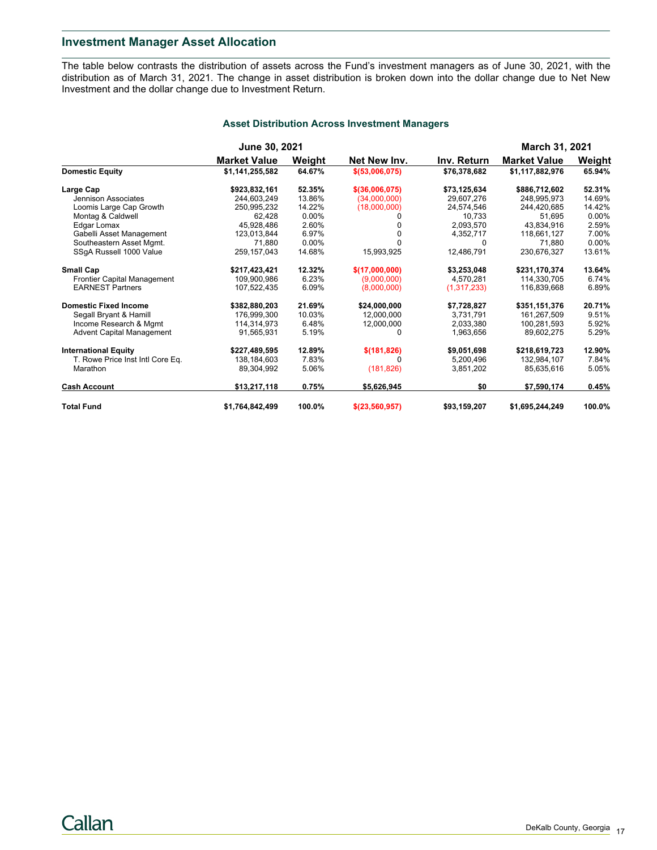### **Investment Manager Asset Allocation**

The table below contrasts the distribution of assets across the Fund's investment managers as of June 30, 2021, with the distribution as of March 31, 2021. The change in asset distribution is broken down into the dollar change due to Net New Investment and the dollar change due to Investment Return.

|                                    |                     | June 30, 2021 |                  |              | <b>March 31, 2021</b> |          |
|------------------------------------|---------------------|---------------|------------------|--------------|-----------------------|----------|
|                                    | <b>Market Value</b> | Weight        | Net New Inv.     | Inv. Return  | <b>Market Value</b>   | Weight   |
| <b>Domestic Equity</b>             | \$1,141,255,582     | 64.67%        | \$ (53,006,075)  | \$76,378,682 | \$1,117,882,976       | 65.94%   |
| Large Cap                          | \$923,832,161       | 52.35%        | $$$ (36,006,075) | \$73,125,634 | \$886,712,602         | 52.31%   |
| Jennison Associates                | 244.603.249         | 13.86%        | (34,000,000)     | 29.607.276   | 248.995.973           | 14.69%   |
| Loomis Large Cap Growth            | 250,995,232         | 14.22%        | (18,000,000)     | 24,574,546   | 244,420,685           | 14.42%   |
| Montag & Caldwell                  | 62,428              | 0.00%         |                  | 10,733       | 51.695                | $0.00\%$ |
| Edgar Lomax                        | 45.928.486          | 2.60%         |                  | 2.093.570    | 43.834.916            | 2.59%    |
| Gabelli Asset Management           | 123.013.844         | 6.97%         |                  | 4,352,717    | 118,661,127           | 7.00%    |
| Southeastern Asset Mgmt.           | 71.880              | $0.00\%$      |                  | O            | 71.880                | $0.00\%$ |
| SSqA Russell 1000 Value            | 259, 157, 043       | 14.68%        | 15,993,925       | 12,486,791   | 230,676,327           | 13.61%   |
| <b>Small Cap</b>                   | \$217,423,421       | 12.32%        | \$(17,000,000)   | \$3,253,048  | \$231,170,374         | 13.64%   |
| <b>Frontier Capital Management</b> | 109.900.986         | 6.23%         | (9,000,000)      | 4.570.281    | 114,330,705           | 6.74%    |
| <b>EARNEST Partners</b>            | 107,522,435         | 6.09%         | (8,000,000)      | (1,317,233)  | 116,839,668           | 6.89%    |
| <b>Domestic Fixed Income</b>       | \$382,880,203       | 21.69%        | \$24,000,000     | \$7,728,827  | \$351,151,376         | 20.71%   |
| Segall Bryant & Hamill             | 176.999.300         | 10.03%        | 12.000.000       | 3.731.791    | 161.267.509           | 9.51%    |
| Income Research & Mgmt             | 114,314,973         | 6.48%         | 12.000.000       | 2,033,380    | 100,281,593           | 5.92%    |
| <b>Advent Capital Management</b>   | 91,565,931          | 5.19%         | n                | 1,963,656    | 89,602,275            | 5.29%    |
| <b>International Equity</b>        | \$227,489,595       | 12.89%        | \$(181, 826)     | \$9,051,698  | \$218,619,723         | 12.90%   |
| T. Rowe Price Inst Intl Core Eq.   | 138,184,603         | 7.83%         |                  | 5,200,496    | 132,984,107           | 7.84%    |
| Marathon                           | 89,304,992          | 5.06%         | (181, 826)       | 3,851,202    | 85,635,616            | 5.05%    |
| <b>Cash Account</b>                | \$13,217,118        | 0.75%         | \$5,626,945      | \$0          | \$7,590,174           | 0.45%    |
| <b>Total Fund</b>                  | \$1,764,842,499     | 100.0%        | \$(23, 560, 957) | \$93,159,207 | \$1,695,244,249       | 100.0%   |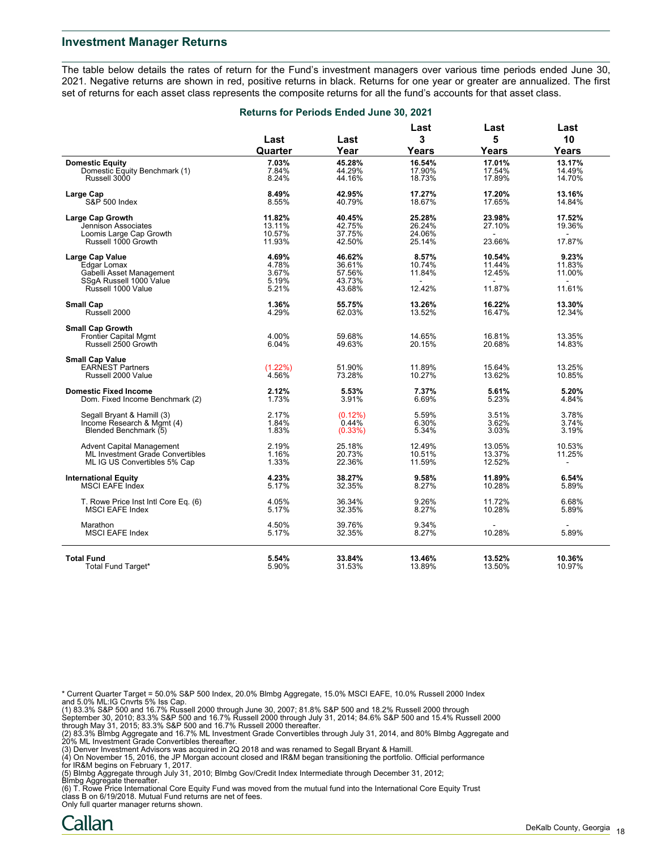#### **Investment Manager Returns**

The table below details the rates of return for the Fund's investment managers over various time periods ended June 30, 2021. Negative returns are shown in red, positive returns in black. Returns for one year or greater are annualized. The first set of returns for each asset class represents the composite returns for all the fund's accounts for that asset class.

|                                         | Returns for Periods Ended June 30, 2021 |            |           |           |                |
|-----------------------------------------|-----------------------------------------|------------|-----------|-----------|----------------|
|                                         |                                         | Last       | Last<br>3 | Last<br>5 | Last           |
|                                         | Last                                    |            |           |           | 10             |
|                                         | Quarter                                 | Year       | Years     | Years     | Years          |
| <b>Domestic Equity</b>                  | 7.03%                                   | 45.28%     | 16.54%    | 17.01%    | 13.17%         |
| Domestic Equity Benchmark (1)           | 7.84%                                   | 44.29%     | 17.90%    | 17.54%    | 14.49%         |
| Russell 3000                            | 8.24%                                   | 44.16%     | 18.73%    | 17.89%    | 14.70%         |
|                                         |                                         |            |           |           |                |
| Large Cap                               | 8.49%                                   | 42.95%     | 17.27%    | 17.20%    | 13.16%         |
| S&P 500 Index                           | 8.55%                                   | 40.79%     | 18.67%    | 17.65%    | 14.84%         |
|                                         |                                         |            |           |           |                |
| Large Cap Growth                        | 11.82%                                  | 40.45%     | 25.28%    | 23.98%    | 17.52%         |
| Jennison Associates                     | 13.11%                                  | 42.75%     | 26.24%    | 27.10%    | 19.36%         |
| Loomis Large Cap Growth                 | 10.57%                                  | 37.75%     | 24.06%    |           | $\sim$         |
| Russell 1000 Growth                     | 11.93%                                  | 42.50%     | 25.14%    | 23.66%    | 17.87%         |
|                                         |                                         |            |           |           |                |
| Large Cap Value                         | 4.69%                                   | 46.62%     | 8.57%     | 10.54%    | 9.23%          |
| Edgar Lomax                             | 4.78%                                   | 36.61%     | 10.74%    | 11.44%    | 11.83%         |
| Gabelli Asset Management                | 3.67%                                   | 57.56%     | 11.84%    | 12.45%    | 11.00%         |
| SSqA Russell 1000 Value                 | 5.19%                                   | 43.73%     | $\sim$    | $\sim$    | $\sim$         |
| Russell 1000 Value                      | 5.21%                                   | 43.68%     | 12.42%    | 11.87%    | 11.61%         |
|                                         |                                         |            |           |           |                |
| <b>Small Cap</b>                        | 1.36%                                   | 55.75%     | 13.26%    | 16.22%    | 13.30%         |
| Russell 2000                            | 4.29%                                   | 62.03%     | 13.52%    | 16.47%    | 12.34%         |
| <b>Small Cap Growth</b>                 |                                         |            |           |           |                |
| <b>Frontier Capital Mgmt</b>            | 4.00%                                   | 59.68%     | 14.65%    | 16.81%    | 13.35%         |
| Russell 2500 Growth                     | 6.04%                                   |            |           | 20.68%    | 14.83%         |
|                                         |                                         | 49.63%     | 20.15%    |           |                |
| <b>Small Cap Value</b>                  |                                         |            |           |           |                |
| <b>EARNEST Partners</b>                 | $(1.22\%)$                              | 51.90%     | 11.89%    | 15.64%    | 13.25%         |
| Russell 2000 Value                      | 4.56%                                   | 73.28%     | 10.27%    | 13.62%    | 10.85%         |
|                                         |                                         |            |           |           |                |
| <b>Domestic Fixed Income</b>            | 2.12%                                   | 5.53%      | 7.37%     | 5.61%     | 5.20%          |
| Dom. Fixed Income Benchmark (2)         | 1.73%                                   | 3.91%      | 6.69%     | 5.23%     | 4.84%          |
|                                         |                                         |            |           |           |                |
| Segall Bryant & Hamill (3)              | 2.17%                                   | $(0.12\%)$ | 5.59%     | 3.51%     | 3.78%          |
| Income Research & Mgmt (4)              | 1.84%                                   | 0.44%      | 6.30%     | 3.62%     | 3.74%          |
| Blended Benchmark (5)                   | 1.83%                                   | (0.33%)    | 5.34%     | 3.03%     | 3.19%          |
| <b>Advent Capital Management</b>        | 2.19%                                   | 25.18%     | 12.49%    | 13.05%    | 10.53%         |
| <b>ML Investment Grade Convertibles</b> | 1.16%                                   | 20.73%     | 10.51%    | 13.37%    | 11.25%         |
|                                         |                                         |            |           |           |                |
| ML IG US Convertibles 5% Cap            | 1.33%                                   | 22.36%     | 11.59%    | 12.52%    | $\blacksquare$ |
| <b>International Equity</b>             | 4.23%                                   | 38.27%     | 9.58%     | 11.89%    | 6.54%          |
| MSCI EAFE Index                         | 5.17%                                   | 32.35%     | 8.27%     | 10.28%    | 5.89%          |
|                                         |                                         |            |           |           |                |
| T. Rowe Price Inst Intl Core Eq. (6)    | 4.05%                                   | 36.34%     | 9.26%     | 11.72%    | 6.68%          |
| <b>MSCI EAFE Index</b>                  | 5.17%                                   | 32.35%     | 8.27%     | 10.28%    | 5.89%          |
|                                         |                                         |            |           |           |                |
| Marathon                                | 4.50%                                   | 39.76%     | 9.34%     |           |                |
| <b>MSCI EAFE Index</b>                  | 5.17%                                   | 32.35%     | 8.27%     | 10.28%    | 5.89%          |
|                                         |                                         |            |           |           |                |
| <b>Total Fund</b>                       | 5.54%                                   | 33.84%     | 13.46%    | 13.52%    | 10.36%         |
| Total Fund Target*                      | 5.90%                                   | 31.53%     | 13.89%    | 13.50%    | 10.97%         |
|                                         |                                         |            |           |           |                |

\* Current Quarter Target = 50.0% S&P 500 Index, 20.0% Blmbg Aggregate, 15.0% MSCI EAFE, 10.0% Russell 2000 Index

and 5.0% ML:IG Cnvrts 5% Iss Cap.<br>(1) 83.3% S&P 500 and 16.7% Russell 2000 through June 30, 2007; 81.8% S&P 500 and 18.2% Russell 2000 through<br>September 30, 2010; 83.3% S&P 500 and 16.7% Russell 2000 through July 31, 2014;

(2) 83.3% Blmbg Aggregate and 16.7% ML Investment Grade Convertibles through July 31, 2014, and 80% Blmbg Aggregate and<br>20% ML Investment Grade Convertibles thereafter.<br>(3) Denver Investment Advisors was acquired in 2Q 201

for IR&M begins on February 1, 2017.

(5) Blmbg Aggregate through July 31, 2010; Blmbg Gov/Credit Index Intermediate through December 31, 2012;

Blmbg Aggregate thereafter. (6) T. Rowe Price International Core Equity Fund was moved from the mutual fund into the International Core Equity Trust class B on 6/19/2018. Mutual Fund returns are net of fees.

Only full quarter manager returns shown.

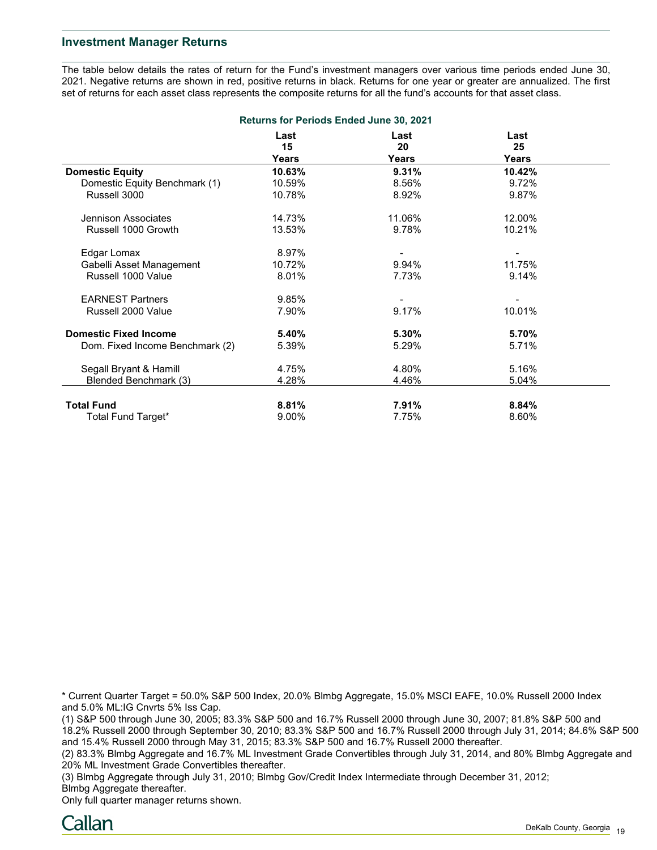#### **Investment Manager Returns**

The table below details the rates of return for the Fund's investment managers over various time periods ended June 30, 2021. Negative returns are shown in red, positive returns in black. Returns for one year or greater are annualized. The first set of returns for each asset class represents the composite returns for all the fund's accounts for that asset class.

| <b>Returns for Periods Ended June 30, 2021</b> |            |            |            |  |  |  |
|------------------------------------------------|------------|------------|------------|--|--|--|
|                                                | Last<br>15 | Last<br>20 | Last<br>25 |  |  |  |
|                                                | Years      | Years      | Years      |  |  |  |
| <b>Domestic Equity</b>                         | 10.63%     | 9.31%      | 10.42%     |  |  |  |
| Domestic Equity Benchmark (1)                  | 10.59%     | 8.56%      | 9.72%      |  |  |  |
| Russell 3000                                   | 10.78%     | 8.92%      | 9.87%      |  |  |  |
| Jennison Associates                            | 14.73%     | 11.06%     | 12.00%     |  |  |  |
| Russell 1000 Growth                            | 13.53%     | 9.78%      | 10.21%     |  |  |  |
| Edgar Lomax                                    | 8.97%      |            |            |  |  |  |
| Gabelli Asset Management                       | 10.72%     | 9.94%      | 11.75%     |  |  |  |
| Russell 1000 Value                             | 8.01%      | 7.73%      | 9.14%      |  |  |  |
| <b>EARNEST Partners</b>                        | 9.85%      |            |            |  |  |  |
| Russell 2000 Value                             | 7.90%      | 9.17%      | 10.01%     |  |  |  |
| <b>Domestic Fixed Income</b>                   | 5.40%      | 5.30%      | 5.70%      |  |  |  |
| Dom. Fixed Income Benchmark (2)                | 5.39%      | 5.29%      | 5.71%      |  |  |  |
| Segall Bryant & Hamill                         | 4.75%      | 4.80%      | 5.16%      |  |  |  |
| Blended Benchmark (3)                          | 4.28%      | 4.46%      | 5.04%      |  |  |  |
| <b>Total Fund</b>                              | 8.81%      | 7.91%      | 8.84%      |  |  |  |
| Total Fund Target*                             | 9.00%      | 7.75%      | 8.60%      |  |  |  |

\* Current Quarter Target = 50.0% S&P 500 Index, 20.0% Blmbg Aggregate, 15.0% MSCI EAFE, 10.0% Russell 2000 Index and 5.0% ML:IG Cnvrts 5% Iss Cap.

(1) S&P 500 through June 30, 2005; 83.3% S&P 500 and 16.7% Russell 2000 through June 30, 2007; 81.8% S&P 500 and 18.2% Russell 2000 through September 30, 2010; 83.3% S&P 500 and 16.7% Russell 2000 through July 31, 2014; 84.6% S&P 500 and 15.4% Russell 2000 through May 31, 2015; 83.3% S&P 500 and 16.7% Russell 2000 thereafter.

(2) 83.3% Blmbg Aggregate and 16.7% ML Investment Grade Convertibles through July 31, 2014, and 80% Blmbg Aggregate and 20% ML Investment Grade Convertibles thereafter.

(3) Blmbg Aggregate through July 31, 2010; Blmbg Gov/Credit Index Intermediate through December 31, 2012; Blmbg Aggregate thereafter.

Only full quarter manager returns shown.